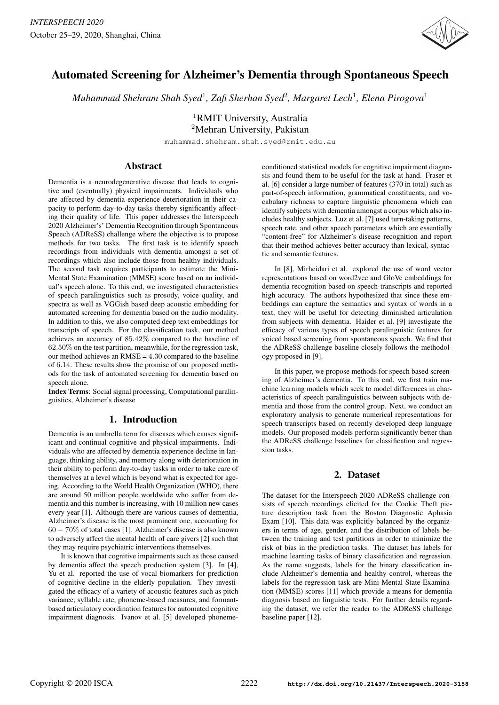

# Automated Screening for Alzheimer's Dementia through Spontaneous Speech

*Muhammad Shehram Shah Syed*<sup>1</sup> *, Zafi Sherhan Syed*<sup>2</sup> *, Margaret Lech*<sup>1</sup> *, Elena Pirogova*<sup>1</sup>

<sup>1</sup>RMIT University, Australia <sup>2</sup>Mehran University, Pakistan

muhammad.shehram.shah.syed@rmit.edu.au

# Abstract

Dementia is a neurodegenerative disease that leads to cognitive and (eventually) physical impairments. Individuals who are affected by dementia experience deterioration in their capacity to perform day-to-day tasks thereby significantly affecting their quality of life. This paper addresses the Interspeech 2020 Alzheimer's' Dementia Recognition through Spontaneous Speech (ADReSS) challenge where the objective is to propose methods for two tasks. The first task is to identify speech recordings from individuals with dementia amongst a set of recordings which also include those from healthy individuals. The second task requires participants to estimate the Mini-Mental State Examination (MMSE) score based on an individual's speech alone. To this end, we investigated characteristics of speech paralinguistics such as prosody, voice quality, and spectra as well as VGGish based deep acoustic embedding for automated screening for dementia based on the audio modality. In addition to this, we also computed deep text embeddings for transcripts of speech. For the classification task, our method achieves an accuracy of 85.42% compared to the baseline of 62.50% on the test partition, meanwhile, for the regression task, our method achieves an RMSE = 4.30 compared to the baseline of 6.14. These results show the promise of our proposed methods for the task of automated screening for dementia based on speech alone.

Index Terms: Social signal processing, Computational paralinguistics, Alzheimer's disease

## 1. Introduction

Dementia is an umbrella term for diseases which causes significant and continual cognitive and physical impairments. Individuals who are affected by dementia experience decline in language, thinking ability, and memory along with deterioration in their ability to perform day-to-day tasks in order to take care of themselves at a level which is beyond what is expected for ageing. According to the World Health Organization (WHO), there are around 50 million people worldwide who suffer from dementia and this number is increasing, with 10 million new cases every year [1]. Although there are various causes of dementia, Alzheimer's disease is the most prominent one, accounting for 60 − 70% of total cases [1]. Alzheimer's disease is also known to adversely affect the mental health of care givers [2] such that they may require psychiatric interventions themselves.

It is known that cognitive impairments such as those caused by dementia affect the speech production system [3]. In [4], Yu et al. reported the use of vocal biomarkers for prediction of cognitive decline in the elderly population. They investigated the efficacy of a variety of acoustic features such as pitch variance, syllable rate, phoneme-based measures, and formantbased articulatory coordination features for automated cognitive impairment diagnosis. Ivanov et al. [5] developed phonemeconditioned statistical models for cognitive impairment diagnosis and found them to be useful for the task at hand. Fraser et al. [6] consider a large number of features (370 in total) such as part-of-speech information, grammatical constituents, and vocabulary richness to capture linguistic phenomena which can identify subjects with dementia amongst a corpus which also includes healthy subjects. Luz et al. [7] used turn-taking patterns, speech rate, and other speech parameters which are essentially "content-free" for Alzheimer's disease recognition and report that their method achieves better accuracy than lexical, syntactic and semantic features.

In [8], Mirheidari et al. explored the use of word vector representations based on word2vec and GloVe embeddings for dementia recognition based on speech-transcripts and reported high accuracy. The authors hypothesized that since these embeddings can capture the semantics and syntax of words in a text, they will be useful for detecting diminished articulation from subjects with dementia. Haider et al. [9] investigate the efficacy of various types of speech paralinguistic features for voiced based screening from spontaneous speech. We find that the ADReSS challenge baseline closely follows the methodology proposed in [9].

In this paper, we propose methods for speech based screening of Alzheimer's dementia. To this end, we first train machine learning models which seek to model differences in characteristics of speech paralinguistics between subjects with dementia and those from the control group. Next, we conduct an exploratory analysis to generate numerical representations for speech transcripts based on recently developed deep language models. Our proposed models perform significantly better than the ADReSS challenge baselines for classification and regression tasks.

## 2. Dataset

The dataset for the Interspeech 2020 ADReSS challenge consists of speech recordings elicited for the Cookie Theft picture description task from the Boston Diagnostic Aphasia Exam [10]. This data was explicitly balanced by the organizers in terms of age, gender, and the distribution of labels between the training and test partitions in order to minimize the risk of bias in the prediction tasks. The dataset has labels for machine learning tasks of binary classification and regression. As the name suggests, labels for the binary classification include Alzheimer's dementia and healthy control, whereas the labels for the regression task are Mini-Mental State Examination (MMSE) scores [11] which provide a means for dementia diagnosis based on linguistic tests. For further details regarding the dataset, we refer the reader to the ADReSS challenge baseline paper [12].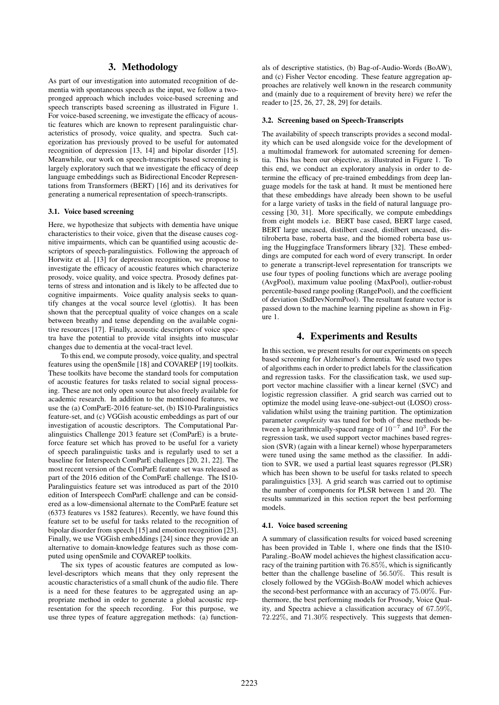## 3. Methodology

As part of our investigation into automated recognition of dementia with spontaneous speech as the input, we follow a twopronged approach which includes voice-based screening and speech transcripts based screening as illustrated in Figure 1. For voice-based screening, we investigate the efficacy of acoustic features which are known to represent paralinguistic characteristics of prosody, voice quality, and spectra. Such categorization has previously proved to be useful for automated recognition of depression [13, 14] and bipolar disorder [15]. Meanwhile, our work on speech-transcripts based screening is largely exploratory such that we investigate the efficacy of deep language embeddings such as Bidirectional Encoder Representations from Transformers (BERT) [16] and its derivatives for generating a numerical representation of speech-transcripts.

#### 3.1. Voice based screening

Here, we hypothesize that subjects with dementia have unique characteristics to their voice, given that the disease causes cognitive impairments, which can be quantified using acoustic descriptors of speech-paralinguistics. Following the approach of Horwitz et al. [13] for depression recognition, we propose to investigate the efficacy of acoustic features which characterize prosody, voice quality, and voice spectra. Prosody defines patterns of stress and intonation and is likely to be affected due to cognitive impairments. Voice quality analysis seeks to quantify changes at the vocal source level (glottis). It has been shown that the perceptual quality of voice changes on a scale between breathy and tense depending on the available cognitive resources [17]. Finally, acoustic descriptors of voice spectra have the potential to provide vital insights into muscular changes due to dementia at the vocal-tract level.

To this end, we compute prosody, voice quality, and spectral features using the openSmile [18] and COVAREP [19] toolkits. These toolkits have become the standard tools for computation of acoustic features for tasks related to social signal processing. These are not only open source but also freely available for academic research. In addition to the mentioned features, we use the (a) ComParE-2016 feature-set, (b) IS10-Paralinguistics feature-set, and (c) VGGish acoustic embeddings as part of our investigation of acoustic descriptors. The Computational Paralinguistics Challenge 2013 feature set (ComParE) is a bruteforce feature set which has proved to be useful for a variety of speech paralinguistic tasks and is regularly used to set a baseline for Interspeech ComParE challenges [20, 21, 22]. The most recent version of the ComParE feature set was released as part of the 2016 edition of the ComParE challenge. The IS10- Paralinguistics feature set was introduced as part of the 2010 edition of Interspeech ComParE challenge and can be considered as a low-dimensional alternate to the ComParE feature set (6373 features vs 1582 features). Recently, we have found this feature set to be useful for tasks related to the recognition of bipolar disorder from speech [15] and emotion recognition [23]. Finally, we use VGGish embeddings [24] since they provide an alternative to domain-knowledge features such as those computed using openSmile and COVAREP toolkits.

The six types of acoustic features are computed as lowlevel-descriptors which means that they only represent the acoustic characteristics of a small chunk of the audio file. There is a need for these features to be aggregated using an appropriate method in order to generate a global acoustic representation for the speech recording. For this purpose, we use three types of feature aggregation methods: (a) functionals of descriptive statistics, (b) Bag-of-Audio-Words (BoAW), and (c) Fisher Vector encoding. These feature aggregation approaches are relatively well known in the research community and (mainly due to a requirement of brevity here) we refer the reader to [25, 26, 27, 28, 29] for details.

#### 3.2. Screening based on Speech-Transcripts

The availability of speech transcripts provides a second modality which can be used alongside voice for the development of a multimodal framework for automated screening for dementia. This has been our objective, as illustrated in Figure 1. To this end, we conduct an exploratory analysis in order to determine the efficacy of pre-trained embeddings from deep language models for the task at hand. It must be mentioned here that these embeddings have already been shown to be useful for a large variety of tasks in the field of natural language processing [30, 31]. More specifically, we compute embeddings from eight models i.e. BERT base cased, BERT large cased, BERT large uncased, distilbert cased, distilbert uncased, distilroberta base, roberta base, and the biomed roberta base using the Huggingface Transformers library [32]. These embeddings are computed for each word of every transcript. In order to generate a transcript-level representation for transcripts we use four types of pooling functions which are average pooling (AvgPool), maximum value pooling (MaxPool), outlier-robust percentile-based range pooling (RangePool), and the coefficient of deviation (StdDevNormPool). The resultant feature vector is passed down to the machine learning pipeline as shown in Figure 1.

## 4. Experiments and Results

In this section, we present results for our experiments on speech based screening for Alzheimer's dementia. We used two types of algorithms each in order to predict labels for the classification and regression tasks. For the classification task, we used support vector machine classifier with a linear kernel (SVC) and logistic regression classifier. A grid search was carried out to optimize the model using leave-one-subject-out (LOSO) crossvalidation whilst using the training partition. The optimization parameter *complexity* was tuned for both of these methods between a logarithmically-spaced range of  $10^{-7}$  and  $10^{3}$ . For the regression task, we used support vector machines based regression (SVR) (again with a linear kernel) whose hyperparameters were tuned using the same method as the classifier. In addition to SVR, we used a partial least squares regressor (PLSR) which has been shown to be useful for tasks related to speech paralinguistics [33]. A grid search was carried out to optimise the number of components for PLSR between 1 and 20. The results summarized in this section report the best performing models.

#### 4.1. Voice based screening

A summary of classification results for voiced based screening has been provided in Table 1, where one finds that the IS10- Paraling.-BoAW model achieves the highest classification accuracy of the training partition with 76.85%, which is significantly better than the challenge baseline of 56.50%. This result is closely followed by the VGGish-BoAW model which achieves the second-best performance with an accuracy of 75.00%. Furthermore, the best performing models for Prosody, Voice Quality, and Spectra achieve a classification accuracy of 67.59%, 72.22%, and 71.30% respectively. This suggests that demen-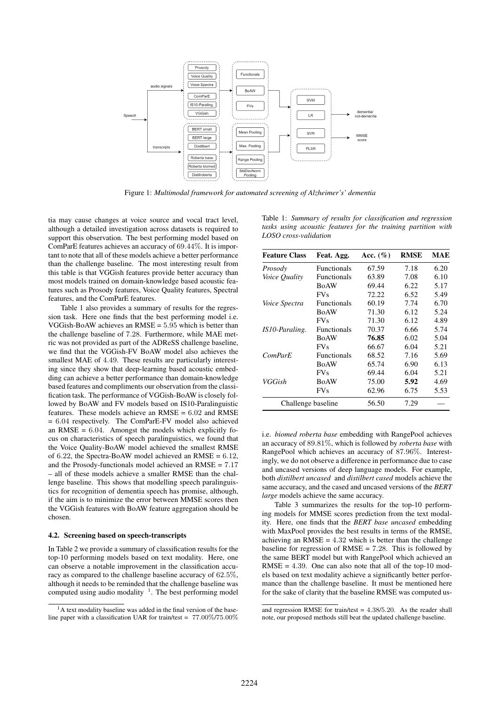

Figure 1: *Multimodal framework for automated screening of Alzheimer's' dementia*

tia may cause changes at voice source and vocal tract level, although a detailed investigation across datasets is required to support this observation. The best performing model based on ComParE features achieves an accuracy of 69.44%. It is important to note that all of these models achieve a better performance than the challenge baseline. The most interesting result from this table is that VGGish features provide better accuracy than most models trained on domain-knowledge based acoustic features such as Prosody features, Voice Quality features, Spectral features, and the ComParE features.

Table 1 also provides a summary of results for the regression task. Here one finds that the best performing model i.e. VGGish-BoAW achieves an RMSE = 5.95 which is better than the challenge baseline of 7.28. Furthermore, while MAE metric was not provided as part of the ADReSS challenge baseline, we find that the VGGish-FV BoAW model also achieves the smallest MAE of 4.49. These results are particularly interesting since they show that deep-learning based acoustic embedding can achieve a better performance than domain-knowledge based features and compliments our observation from the classification task. The performance of VGGish-BoAW is closely followed by BoAW and FV models based on IS10-Paralinguistic features. These models achieve an  $RMSE = 6.02$  and  $RMSE$ = 6.04 respectively. The ComParE-FV model also achieved an RMSE  $= 6.04$ . Amongst the models which explicitly focus on characteristics of speech paralinguistics, we found that the Voice Quality-BoAW model achieved the smallest RMSE of  $6.22$ , the Spectra-BoAW model achieved an RMSE =  $6.12$ , and the Prosody-functionals model achieved an RMSE = 7.17 – all of these models achieve a smaller RMSE than the challenge baseline. This shows that modelling speech paralinguistics for recognition of dementia speech has promise, although, if the aim is to minimize the error between MMSE scores then the VGGish features with BoAW feature aggregation should be chosen.

#### 4.2. Screening based on speech-transcripts

In Table 2 we provide a summary of classification results for the top-10 performing models based on text modality. Here, one can observe a notable improvement in the classification accuracy as compared to the challenge baseline accuracy of 62.5%, although it needs to be reminded that the challenge baseline was computed using audio modality  $\frac{1}{1}$ . The best performing model

Table 1: *Summary of results for classification and regression tasks using acoustic features for the training partition with LOSO cross-validation*

| <b>Feature Class</b> | Feat. Agg.         | Acc. $(\% )$ | <b>RMSE</b> | <b>MAE</b> |
|----------------------|--------------------|--------------|-------------|------------|
| Prosody              | <b>Functionals</b> | 67.59        | 7.18        | 6.20       |
| <i>Voice Quality</i> | <b>Functionals</b> | 63.89        | 7.08        | 6.10       |
|                      | <b>BoAW</b>        | 69.44        | 6.22        | 5.17       |
|                      | <b>FVs</b>         | 72.22        | 6.52        | 5.49       |
| <i>Voice Spectra</i> | <b>Functionals</b> | 60.19        | 7.74        | 6.70       |
|                      | <b>BoAW</b>        | 71.30        | 6.12        | 5.24       |
|                      | <b>FVs</b>         | 71.30        | 6.12        | 4.89       |
| IS10-Paraling.       | <b>Functionals</b> | 70.37        | 6.66        | 5.74       |
|                      | <b>BoAW</b>        | 76.85        | 6.02        | 5.04       |
|                      | <b>FVs</b>         | 66.67        | 6.04        | 5.21       |
| <b>ComParE</b>       | <b>Functionals</b> | 68.52        | 7.16        | 5.69       |
|                      | <b>BoAW</b>        | 65.74        | 6.90        | 6.13       |
|                      | <b>FVs</b>         | 69.44        | 6.04        | 5.21       |
| VGGish               | <b>BoAW</b>        | 75.00        | 5.92        | 4.69       |
|                      | <b>FVs</b>         | 62.96        | 6.75        | 5.53       |
| Challenge baseline   |                    | 56.50        | 7.29        |            |

i.e. *biomed roberta base* embedding with RangePool achieves an accuracy of 89.81%, which is followed by *roberta base* with RangePool which achieves an accuracy of 87.96%. Interestingly, we do not observe a difference in performance due to case and uncased versions of deep language models. For example, both *distilbert uncased* and *distilbert cased* models achieve the same accuracy, and the cased and uncased versions of the *BERT large* models achieve the same accuracy.

Table 3 summarizes the results for the top-10 performing models for MMSE scores prediction from the text modality. Here, one finds that the *BERT base uncased* embedding with MaxPool provides the best results in terms of the RMSE, achieving an  $RMSE = 4.32$  which is better than the challenge baseline for regression of  $RMSE = 7.28$ . This is followed by the same BERT model but with RangePool which achieved an  $RMSE = 4.39$ . One can also note that all of the top-10 models based on text modality achieve a significantly better performance than the challenge baseline. It must be mentioned here for the sake of clarity that the baseline RMSE was computed us-

<sup>&</sup>lt;sup>1</sup>A text modality baseline was added in the final version of the baseline paper with a classification UAR for train/test = 77.00%/75.00%

and regression RMSE for train/test  $= 4.38/5.20$ . As the reader shall note, our proposed methods still beat the updated challenge baseline.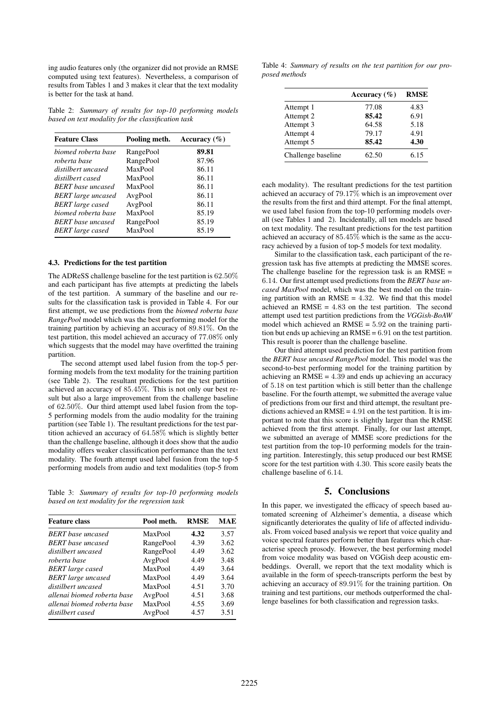ing audio features only (the organizer did not provide an RMSE computed using text features). Nevertheless, a comparison of results from Tables 1 and 3 makes it clear that the text modality is better for the task at hand.

Table 2: *Summary of results for top-10 performing models based on text modality for the classification task*

| <b>Feature Class</b>      | Pooling meth. | Accuracy $(\% )$ |
|---------------------------|---------------|------------------|
| biomed roberta base       | RangePool     | 89.81            |
| roberta base              | RangePool     | 87.96            |
| distilbert uncased        | MaxPool       | 86.11            |
| distilbert cased          | MaxPool       | 86.11            |
| <b>BERT</b> base uncased  | MaxPool       | 86.11            |
| <b>BERT</b> large uncased | AvgPool       | 86.11            |
| <b>BERT</b> large cased   | AvgPool       | 86.11            |
| biomed roberta base       | MaxPool       | 85.19            |
| <b>BERT</b> base uncased  | RangePool     | 85.19            |
| <b>BERT</b> large cased   | MaxPool       | 85.19            |

#### 4.3. Predictions for the test partition

The ADReSS challenge baseline for the test partition is 62.50% and each participant has five attempts at predicting the labels of the test partition. A summary of the baseline and our results for the classification task is provided in Table 4. For our first attempt, we use predictions from the *biomed roberta base RangePool* model which was the best performing model for the training partition by achieving an accuracy of 89.81%. On the test partition, this model achieved an accuracy of 77.08% only which suggests that the model may have overfitted the training partition.

The second attempt used label fusion from the top-5 performing models from the text modality for the training partition (see Table 2). The resultant predictions for the test partition achieved an accuracy of 85.45%. This is not only our best result but also a large improvement from the challenge baseline of 62.50%. Our third attempt used label fusion from the top-5 performing models from the audio modality for the training partition (see Table 1). The resultant predictions for the test partition achieved an accuracy of 64.58% which is slightly better than the challenge baseline, although it does show that the audio modality offers weaker classification performance than the text modality. The fourth attempt used label fusion from the top-5 performing models from audio and text modalities (top-5 from

Table 3: *Summary of results for top-10 performing models based on text modality for the regression task*

| <b>Feature class</b>        | Pool meth. | RMSE | <b>MAE</b> |
|-----------------------------|------------|------|------------|
| <b>BERT</b> base uncased    | MaxPool    | 4.32 | 3.57       |
| <b>BERT</b> base uncased    | RangePool  | 4.39 | 3.62       |
| distilbert uncased          | RangePool  | 4.49 | 3.62       |
| roberta base                | AvgPool    | 4.49 | 3.48       |
| <b>BERT</b> large cased     | MaxPool    | 4.49 | 3.64       |
| <b>BERT</b> large uncased   | MaxPool    | 4.49 | 3.64       |
| distilbert uncased          | MaxPool    | 4.51 | 3.70       |
| allenai biomed roberta base | AvgPool    | 4.51 | 3.68       |
| allenai biomed roberta base | MaxPool    | 4.55 | 3.69       |
| distilbert cased            | AvgPool    | 4.57 | 3.51       |

Table 4: *Summary of results on the test partition for our proposed methods*

|                    | Accuracy $(\% )$ | <b>RMSE</b> |
|--------------------|------------------|-------------|
| Attempt 1          | 77.08            | 4.83        |
| Attempt 2          | 85.42            | 6.91        |
| Attempt 3          | 64.58            | 5.18        |
| Attempt 4          | 79.17            | 4.91        |
| Attempt 5          | 85.42            | 4.30        |
| Challenge baseline | 62.50            | 6.15        |

each modality). The resultant predictions for the test partition achieved an accuracy of 79.17% which is an improvement over the results from the first and third attempt. For the final attempt, we used label fusion from the top-10 performing models overall (see Tables 1 and 2). Incidentally, all ten models are based on text modality. The resultant predictions for the test partition achieved an accuracy of 85.45% which is the same as the accuracy achieved by a fusion of top-5 models for text modality.

Similar to the classification task, each participant of the regression task has five attempts at predicting the MMSE scores. The challenge baseline for the regression task is an RMSE = 6.14. Our first attempt used predictions from the *BERT base uncased MaxPool* model, which was the best model on the training partition with an  $RMSE = 4.32$ . We find that this model achieved an  $RMSE = 4.83$  on the test partition. The second attempt used test partition predictions from the *VGGish-BoAW* model which achieved an RMSE = 5.92 on the training partition but ends up achieving an RMSE = 6.91 on the test partition. This result is poorer than the challenge baseline.

Our third attempt used prediction for the test partition from the *BERT base uncased RangePool* model. This model was the second-to-best performing model for the training partition by achieving an  $RMSE = 4.39$  and ends up achieving an accuracy of 5.18 on test partition which is still better than the challenge baseline. For the fourth attempt, we submitted the average value of predictions from our first and third attempt, the resultant predictions achieved an  $RMSE = 4.91$  on the test partition. It is important to note that this score is slightly larger than the RMSE achieved from the first attempt. Finally, for our last attempt, we submitted an average of MMSE score predictions for the test partition from the top-10 performing models for the training partition. Interestingly, this setup produced our best RMSE score for the test partition with 4.30. This score easily beats the challenge baseline of 6.14.

### 5. Conclusions

In this paper, we investigated the efficacy of speech based automated screening of Alzheimer's dementia, a disease which significantly deteriorates the quality of life of affected individuals. From voiced based analysis we report that voice quality and voice spectral features perform better than features which characterise speech prosody. However, the best performing model from voice modality was based on VGGish deep acoustic embeddings. Overall, we report that the text modality which is available in the form of speech-transcripts perform the best by achieving an accuracy of 89.91% for the training partition. On training and test partitions, our methods outperformed the challenge baselines for both classification and regression tasks.